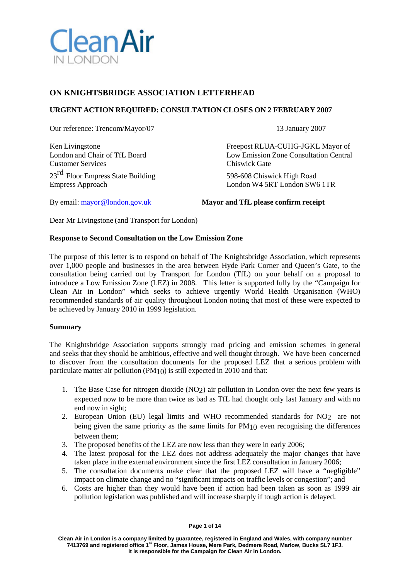

# **ON KNIGHTSBRIDGE ASSOCIATION LETTERHEAD**

## **URGENT ACTION REQUIRED: CONSULTATION CLOSES ON 2 FEBRUARY 2007**

Our reference: Trencom/Mayor/07 13 January 2007

Customer Services 23<sup>rd</sup> Floor Empress State Building 598-608 Chiswick High Road

Ken Livingstone Freepost RLUA-CUHG-JGKL Mayor of<br>
London and Chair of TfL Board Low Emission Zone Consultation Central Low Emission Zone Consultation Central<br>Chiswick Gate

Empress Approach London W4 5RT London SW6 1TR

By email: [mayor@london.gov.uk](mailto:mayor@london.gov.uk) **Mayor and TfL please confirm receipt**

Dear Mr Livingstone (and Transport for London)

#### **Response to Second Consultation on the Low Emission Zone**

The purpose of this letter is to respond on behalf of The Knightsbridge Association, which represents over 1,000 people and businesses in the area between Hyde Park Corner and Queen's Gate, to the consultation being carried out by Transport for London (TfL) on your behalf on a proposal to introduce a Low Emission Zone (LEZ) in 2008. This letter is supported fully by the "Campaign for Clean Air in London" which seeks to achieve urgently World Health Organisation (WHO) recommended standards of air quality throughout London noting that most of these were expected to be achieved by January 2010 in 1999 legislation.

## **Summary**

The Knightsbridge Association supports strongly road pricing and emission schemes in general and seeks that they should be ambitious, effective and well thought through. We have been concerned to discover from the consultation documents for the proposed LEZ that a serious problem with particulate matter air pollution (PM10) is still expected in 2010 and that:

- 1. The Base Case for nitrogen dioxide (NO2) air pollution in London over the next few years is expected now to be more than twice as bad as TfL had thought only last January and with no end now in sight;
- 2. European Union (EU) legal limits and WHO recommended standards for NO2 are not being given the same priority as the same limits for PM10 even recognising the differences between them;
- 3. The proposed benefits of the LEZ are now less than they were in early 2006;
- 4. The latest proposal for the LEZ does not address adequately the major changes that have taken place in the external environment since the first LEZ consultation in January 2006;
- 5. The consultation documents make clear that the proposed LEZ will have a "negligible" impact on climate change and no "significant impacts on traffic levels or congestion"; and
- 6. Costs are higher than they would have been if action had been taken as soon as 1999 air pollution legislation was published and will increase sharply if tough action is delayed.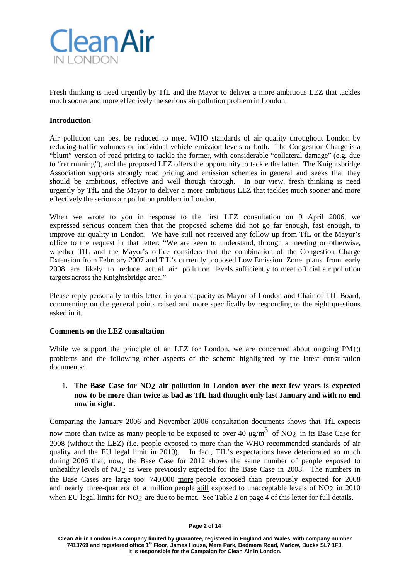

Fresh thinking is need urgently by TfL and the Mayor to deliver a more ambitious LEZ that tackles much sooner and more effectively the serious air pollution problem in London.

#### **Introduction**

Air pollution can best be reduced to meet WHO standards of air quality throughout London by reducing traffic volumes or individual vehicle emission levels or both. The Congestion Charge is a "blunt" version of road pricing to tackle the former, with considerable "collateral damage" (e.g. due to "rat running"), and the proposed LEZ offers the opportunity to tackle the latter. The Knightsbridge Association supports strongly road pricing and emission schemes in general and seeks that they should be ambitious, effective and well though through. In our view, fresh thinking is need urgently by TfL and the Mayor to deliver a more ambitious LEZ that tackles much sooner and more effectively the serious air pollution problem in London.

When we wrote to you in response to the first LEZ consultation on 9 April 2006, we expressed serious concern then that the proposed scheme did not go far enough, fast enough, to improve air quality in London. We have still not received any follow up from TfL or the Mayor's office to the request in that letter: "We are keen to understand, through a meeting or otherwise, whether TfL and the Mayor's office considers that the combination of the Congestion Charge Extension from February 2007 and TfL's currently proposed Low Emission Zone plans from early 2008 are likely to reduce actual air pollution levels sufficiently to meet official air pollution targets across the Knightsbridge area."

Please reply personally to this letter, in your capacity as Mayor of London and Chair of TfL Board, commenting on the general points raised and more specifically by responding to the eight questions asked in it.

#### **Comments on the LEZ consultation**

While we support the principle of an LEZ for London, we are concerned about ongoing PM<sub>10</sub> problems and the following other aspects of the scheme highlighted by the latest consultation documents:

# 1. **The Base Case for NO2 air pollution in London over the next few years is expected now to be more than twice as bad as TfL had thought only last January and with no end now in sight.**

Comparing the January 2006 and November 2006 consultation documents shows that TfL expects now more than twice as many people to be exposed to over 40  $\mu$ g/m<sup>3</sup> of NO<sub>2</sub> in its Base Case for 2008 (without the LEZ) (i.e. people exposed to more than the WHO recommended standards of air quality and the EU legal limit in 2010). In fact, TfL's expectations have deteriorated so much during 2006 that, now, the Base Case for 2012 shows the same number of people exposed to unhealthy levels of NO2 as were previously expected for the Base Case in 2008. The numbers in the Base Cases are large too: 740,000 more people exposed than previously expected for 2008 and nearly three-quarters of a million people still exposed to unacceptable levels of NO2 in 2010 when EU legal limits for NO<sub>2</sub> are due to be met. See Table 2 on page 4 of this letter for full details.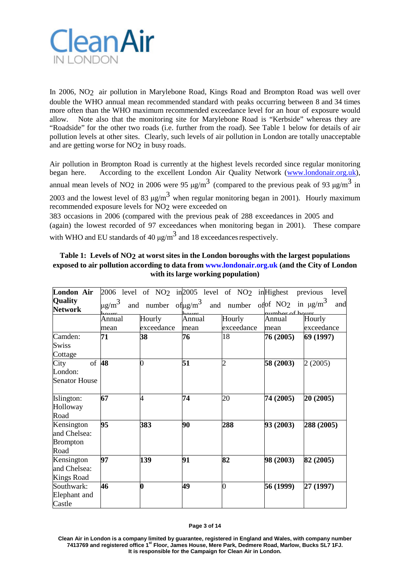

In 2006, NO2 air pollution in Marylebone Road, Kings Road and Brompton Road was well over double the WHO annual mean recommended standard with peaks occurring between 8 and 34 times more often than the WHO maximum recommended exceedance level for an hour of exposure would allow. Note also that the monitoring site for Marylebone Road is "Kerbside" whereas they are "Roadside" for the other two roads (i.e. further from the road). See Table 1 below for details of air pollution levels at other sites. Clearly, such levels of air pollution in London are totally unacceptable and are getting worse for NO2 in busy roads.

Air pollution in Brompton Road is currently at the highest levels recorded since regular monitoring began here. According to the excellent London Air Quality Network (www.londonair.org.uk), annual mean levels of NO<sub>2</sub> in 2006 were 95  $\mu$ g/m<sup>3</sup> (compared to the previous peak of 93  $\mu$ g/m<sup>3</sup> in 2003 and the lowest level of 83  $\mu$ g/m<sup>3</sup> when regular monitoring began in 2001). Hourly maximum recommended exposure levels for NO2 were exceeded on

383 occasions in 2006 (compared with the previous peak of 288 exceedances in 2005 and (again) the lowest recorded of 97 exceedances when monitoring began in 2001). These compare with WHO and EU standards of 40  $\mu$ g/m<sup>3</sup> and 18 exceedances respectively.

| London Air                                            |                        | 2006 level of NO <sub>2</sub> in 2005 level of NO <sub>2</sub> in Highest |        |                                                  |            | previous<br>level |
|-------------------------------------------------------|------------------------|---------------------------------------------------------------------------|--------|--------------------------------------------------|------------|-------------------|
| Quality<br><b>Network</b>                             | $\mu$ g/m <sup>3</sup> | and number of $\mu$ g/m <sup>3</sup>                                      |        | and number of $\log_2$ in $\mu$ g/m <sup>3</sup> | r of hours | and               |
|                                                       | Annual                 | Hourly                                                                    | Annual | Hourly                                           | Annual     | Hourly            |
|                                                       | mean                   | exceedance                                                                | mean   | exceedance                                       | mean       | exceedance        |
| Camden:                                               | 71                     | 38                                                                        | 76     | 18                                               | 76 (2005)  | 69 (1997)         |
| Swiss                                                 |                        |                                                                           |        |                                                  |            |                   |
| Cottage                                               |                        |                                                                           |        |                                                  |            |                   |
| of<br>City<br>London:                                 | 48                     |                                                                           | 51     |                                                  | 58 (2003)  | 2(2005)           |
| <b>Senator House</b>                                  |                        |                                                                           |        |                                                  |            |                   |
| Islington:<br>Holloway<br>Road                        | 67                     |                                                                           | 74     | 20                                               | 74 (2005)  | 20 (2005)         |
| Kensington<br>and Chelsea:<br><b>Brompton</b><br>Road | 95                     | 383                                                                       | 90     | 288                                              | 93 (2003)  | 288 (2005)        |
| Kensington<br>and Chelsea:<br><b>Kings Road</b>       | 97                     | 139                                                                       | 91     | 82                                               | 98 (2003)  | 82 (2005)         |
| Southwark:<br>Elephant and<br>Castle                  | 46                     | N                                                                         | 49     | 0                                                | 56 (1999)  | 27 (1997)         |

## **Table 1: Levels of NO2 at worst sites in the London boroughs with the largest populations exposed to air pollution according to data from [www.londonair.org.uk \(](http://www.londonair.org.uk/)and the City of London with its large working population)**

#### **Page 3 of 14**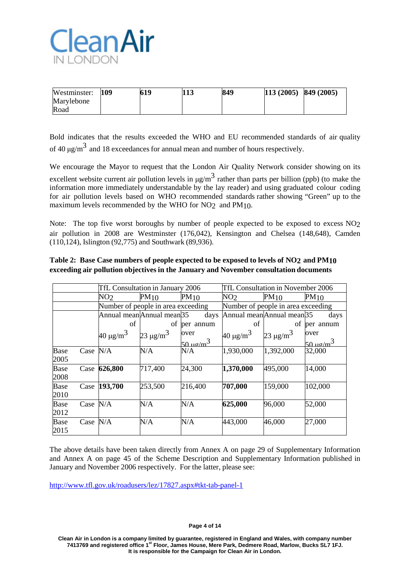

| Westminster: | <b>109</b> | 619 | 117<br>ш | 849 | $113(2005)$ 849 (2005) |  |
|--------------|------------|-----|----------|-----|------------------------|--|
| Marylebone   |            |     |          |     |                        |  |
| Road         |            |     |          |     |                        |  |

Bold indicates that the results exceeded the WHO and EU recommended standards of air quality of <sup>40</sup> <sup>μ</sup>g/m3 and <sup>18</sup> exceedances for annual mean and number of hours respectively.

We encourage the Mayor to request that the London Air Quality Network consider showing on its excellent website current air pollution levels in  $\mu g/m^3$  rather than parts per billion (ppb) (to make the information more immediately understandable by the lay reader) and using graduated colour coding for air pollution levels based on WHO recommended standards rather showing "Green" up to the maximum levels recommended by the WHO for NO<sub>2</sub> and PM<sub>10</sub>.

Note: The top five worst boroughs by number of people expected to be exposed to excess NO2 air pollution in 2008 are Westminster (176,042), Kensington and Chelsea (148,648), Camden (110,124), Islington (92,775) and Southwark (89,936).

|                     |            | TfL Consultation in January 2006   |                           |                  | TfL Consultation in November 2006  |                |                    |
|---------------------|------------|------------------------------------|---------------------------|------------------|------------------------------------|----------------|--------------------|
|                     |            | NO <sub>2</sub>                    | PM10                      | PM10             | NO <sub>2</sub>                    | PM10           | PM10               |
|                     |            | Number of people in area exceeding |                           |                  | Number of people in area exceeding |                |                    |
|                     |            | Annual mean Annual mean 35         |                           | days             | Annual mean Annual mean 35         |                | days               |
|                     |            | of                                 |                           | of per annum     | of                                 | of             | per annum          |
|                     |            | $40 \mu g/m^3$                     | 23 $\mu$ g/m <sup>3</sup> | over             | $40 \mu g/m^3$                     | $23 \mu g/m^3$ | over               |
|                     |            |                                    |                           | $50 \text{ m}^3$ |                                    |                | $50 \text{ m/m}^3$ |
| Base<br>2005        | Case $N/A$ |                                    | N/A                       | N/A              | 1,930,000                          | 1,392,000      | 32,000             |
| <b>Base</b><br>2008 |            | Case 626,800                       | 717,400                   | 24,300           | 1,370,000                          | 495,000        | 14,000             |
| Base<br>2010        | Case       | 193,700                            | 253,500                   | 216,400          | 707,000                            | 159,000        | 102,000            |
| Base<br>2012        | Case $N/A$ |                                    | N/A                       | N/A              | 625,000                            | 96,000         | 52,000             |
| Base<br>2015        | Case N/A   |                                    | N/A                       | N/A              | 443,000                            | 46,000         | 27,000             |

# **Table 2: Base Case numbers of people expected to be exposed to levels of NO2 and PM10 exceeding air pollution objectives in the January and November consultation documents**

The above details have been taken directly from Annex A on page 29 of Supplementary Information and Annex A on page 45 of the Scheme Description and Supplementary Information published in January and November 2006 respectively. For the latter, please see:

<http://www.tfl.gov.uk/roadusers/lez/17827.aspx#tkt-tab-panel-1>

#### **Page 4 of 14**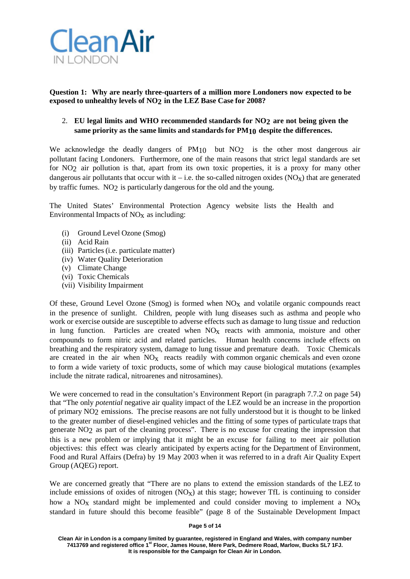

**Question 1: Why are nearly three-quarters of a million more Londoners now expected to be exposed to unhealthy levels of NO2 in the LEZ Base Case for 2008?**

2. **EU legal limits and WHO recommended standards for NO2 are not being given the same priority as the same limits and standards for PM10 despite the differences.**

We acknowledge the deadly dangers of PM10 but NO<sub>2</sub> is the other most dangerous air pollutant facing Londoners. Furthermore, one of the main reasons that strict legal standards are set for NO2 air pollution is that, apart from its own toxic properties, it is a proxy for many other dangerous air pollutants that occur with it – i.e. the so-called nitrogen oxides  $(NO_x)$  that are generated by traffic fumes. NO2 is particularly dangerous for the old and the young.

The United States' Environmental Protection Agency website lists the Health and Environmental Impacts of  $NO<sub>x</sub>$  as including:

- (i) Ground Level Ozone (Smog)
- (ii) Acid Rain
- (iii) Particles (i.e. particulate matter)
- (iv) Water Quality Deterioration
- (v) Climate Change
- (vi) Toxic Chemicals
- (vii) Visibility Impairment

Of these, Ground Level Ozone (Smog) is formed when  $NO<sub>X</sub>$  and volatile organic compounds react in the presence of sunlight. Children, people with lung diseases such as asthma and people who work or exercise outside are susceptible to adverse effects such as damage to lung tissue and reduction in lung function. Particles are created when  $NO<sub>x</sub>$  reacts with ammonia, moisture and other compounds to form nitric acid and related particles. Human health concerns include effects on breathing and the respiratory system, damage to lung tissue and premature death. Toxic Chemicals are created in the air when  $NO<sub>x</sub>$  reacts readily with common organic chemicals and even ozone to form a wide variety of toxic products, some of which may cause biological mutations (examples include the nitrate radical, nitroarenes and nitrosamines).

We were concerned to read in the consultation's Environment Report (in paragraph 7.7.2 on page 54) that "The only *potential* negative air quality impact of the LEZ would be an increase in the proportion of primary NO2 emissions. The precise reasons are not fully understood but it is thought to be linked to the greater number of diesel-engined vehicles and the fitting of some types of particulate traps that generate NO2 as part of the cleaning process". There is no excuse for creating the impression that this is a new problem or implying that it might be an excuse for failing to meet air pollution objectives: this effect was clearly anticipated by experts acting for the Department of Environment, Food and Rural Affairs (Defra) by 19 May 2003 when it was referred to in a draft Air Quality Expert Group (AQEG) report.

We are concerned greatly that "There are no plans to extend the emission standards of the LEZ to include emissions of oxides of nitrogen  $(NO<sub>x</sub>)$  at this stage; however TfL is continuing to consider how a  $NO<sub>X</sub>$  standard might be implemented and could consider moving to implement a  $NO<sub>X</sub>$ standard in future should this become feasible" (page 8 of the Sustainable Development Impact

#### **Page 5 of 14**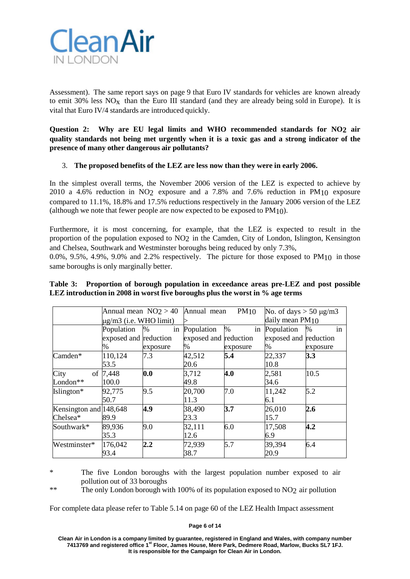

Assessment). The same report says on page 9 that Euro IV standards for vehicles are known already to emit 30% less  $NO<sub>x</sub>$  than the Euro III standard (and they are already being sold in Europe). It is vital that Euro IV/4 standards are introduced quickly.

**Question 2: Why are EU legal limits and WHO recommended standards for NO2 air quality standards not being met urgently when it is a toxic gas and a strong indicator of the presence of many other dangerous air pollutants?**

# 3. **The proposed benefits of the LEZ are less now than they were in early 2006.**

In the simplest overall terms, the November 2006 version of the LEZ is expected to achieve by 2010 a 4.6% reduction in NO2 exposure and a 7.8% and 7.6% reduction in PM10 exposure compared to 11.1%, 18.8% and 17.5% reductions respectively in the January 2006 version of the LEZ (although we note that fewer people are now expected to be exposed to PM10).

Furthermore, it is most concerning, for example, that the LEZ is expected to result in the proportion of the population exposed to NO2 in the Camden, City of London, Islington, Kensington and Chelsea, Southwark and Westminster boroughs being reduced by only 7.3%,

0.0%, 9.5%, 4.9%, 9.0% and 2.2% respectively. The picture for those exposed to  $PM_{10}$  in those same boroughs is only marginally better.

# **Table 3: Proportion of borough population in exceedance areas pre-LEZ and post possible LEZ introduction in 2008 in worst five boroughs plus the worst in % age terms**

|                        | Annual mean $NO2 > 40$ Annual mean |          | $PM_{10}$             |          | No. of days $>$ 50 $\mu$ g/m3 |          |
|------------------------|------------------------------------|----------|-----------------------|----------|-------------------------------|----------|
|                        | $\mu$ g/m3 (i.e. WHO limit)        |          |                       |          | daily mean $PM_{10}$          |          |
|                        | Population %                       |          | in Population         | %<br>in  | Population                    | in<br>%  |
|                        | exposed and reduction              |          | exposed and reduction |          | exposed and reduction         |          |
|                        | %                                  | exposure | %                     | exposure | $\%$                          | exposure |
| Camden*                | 110,124                            | 7.3      | 42,512                | 5.4      | 22,337                        | 3.3      |
|                        | 53.5                               |          | 20.6                  |          | 10.8                          |          |
| City                   | of 7,448                           | 0.0      | 3,712                 | 4.0      | 2,581                         | 10.5     |
| London**               | 100.0                              |          | 49.8                  |          | 34.6                          |          |
| Islington*             | 92,775                             | 9.5      | 20,700                | 7.0      | 11,242                        | 5.2      |
|                        | 50.7                               |          | 11.3                  |          | 6.1                           |          |
| Kensington and 148,648 |                                    | 4.9      | 38,490                | 3.7      | 26,010                        | 2.6      |
| Chelsea*               | 89.9                               |          | 23.3                  |          | 15.7                          |          |
| Southwark*             | 89,936                             | 9.0      | 32,111                | 6.0      | 17,508                        | 4.2      |
|                        | 35.3                               |          | 12.6                  |          | 6.9                           |          |
| Westminster*           | 176,042                            | 2.2      | 72,939                | 5.7      | 39,394                        | 6.4      |
|                        | 93.4                               |          | 38.7                  |          | 20.9                          |          |

\* The five London boroughs with the largest population number exposed to air pollution out of 33 boroughs

\*\* The only London borough with 100% of its population exposed to NO2 air pollution

For complete data please refer to Table 5.14 on page 60 of the LEZ Health Impact assessment

#### **Page 6 of 14**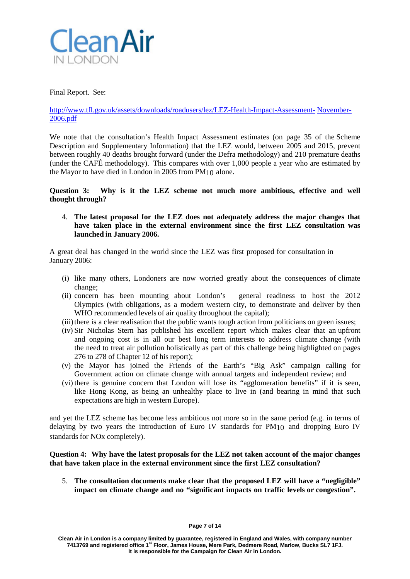

## Final Report. See:

# <http://www.tfl.gov.uk/assets/downloads/roadusers/lez/LEZ-Health-Impact-Assessment-> November-2006.pdf

We note that the consultation's Health Impact Assessment estimates (on page 35 of the Scheme Description and Supplementary Information) that the LEZ would, between 2005 and 2015, prevent between roughly 40 deaths brought forward (under the Defra methodology) and 210 premature deaths (under the CAFÉ methodology). This compares with over 1,000 people a year who are estimated by the Mayor to have died in London in 2005 from PM10 alone.

**Question 3: Why is it the LEZ scheme not much more ambitious, effective and well thought through?**

4. **The latest proposal for the LEZ does not adequately address the major changes that have taken place in the external environment since the first LEZ consultation was launched in January 2006.**

A great deal has changed in the world since the LEZ was first proposed for consultation in January 2006:

- (i) like many others, Londoners are now worried greatly about the consequences of climate change;
- (ii) concern has been mounting about London's general readiness to host the 2012 Olympics (with obligations, as a modern western city, to demonstrate and deliver by then WHO recommended levels of air quality throughout the capital);
- (iii) there is a clear realisation that the public wants tough action from politicians on green issues;
- (iv) Sir Nicholas Stern has published his excellent report which makes clear that an upfront and ongoing cost is in all our best long term interests to address climate change (with the need to treat air pollution holistically as part of this challenge being highlighted on pages 276 to 278 of Chapter 12 of his report);
- (v) the Mayor has joined the Friends of the Earth's "Big Ask" campaign calling for Government action on climate change with annual targets and independent review; and
- (vi) there is genuine concern that London will lose its "agglomeration benefits" if it is seen, like Hong Kong, as being an unhealthy place to live in (and bearing in mind that such expectations are high in western Europe).

and yet the LEZ scheme has become less ambitious not more so in the same period (e.g. in terms of delaying by two years the introduction of Euro IV standards for PM10 and dropping Euro IV standards for NOx completely).

## **Question 4: Why have the latest proposals for the LEZ not taken account of the major changes that have taken place in the external environment since the first LEZ consultation?**

5. **The consultation documents make clear that the proposed LEZ will have a "negligible" impact on climate change and no "significant impacts on traffic levels or congestion".**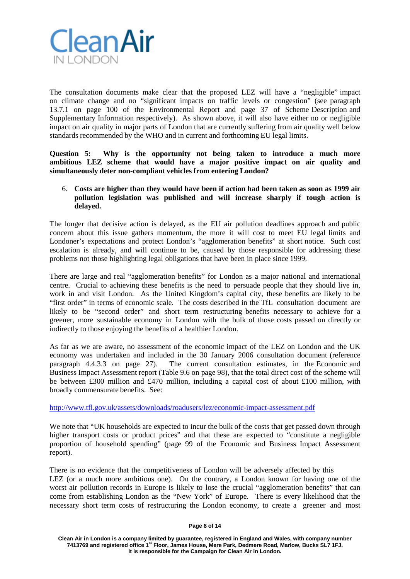

The consultation documents make clear that the proposed LEZ will have a "negligible" impact on climate change and no "significant impacts on traffic levels or congestion" (see paragraph 13.7.1 on page 100 of the Environmental Report and page 37 of Scheme Description and Supplementary Information respectively). As shown above, it will also have either no or negligible impact on air quality in major parts of London that are currently suffering from air quality well below standards recommended by the WHO and in current and forthcoming EU legal limits.

**Question 5: Why is the opportunity not being taken to introduce a much more ambitious LEZ scheme that would have a major positive impact on air quality and simultaneously deter non-compliant vehicles from entering London?**

## 6. **Costs are higher than they would have been if action had been taken as soon as 1999 air pollution legislation was published and will increase sharply if tough action is delayed.**

The longer that decisive action is delayed, as the EU air pollution deadlines approach and public concern about this issue gathers momentum, the more it will cost to meet EU legal limits and Londoner's expectations and protect London's "agglomeration benefits" at short notice. Such cost escalation is already, and will continue to be, caused by those responsible for addressing these problems not those highlighting legal obligations that have been in place since 1999.

There are large and real "agglomeration benefits" for London as a major national and international centre. Crucial to achieving these benefits is the need to persuade people that they should live in, work in and visit London. As the United Kingdom's capital city, these benefits are likely to be "first order" in terms of economic scale. The costs described in the TfL consultation document are likely to be "second order" and short term restructuring benefits necessary to achieve for a greener, more sustainable economy in London with the bulk of those costs passed on directly or indirectly to those enjoying the benefits of a healthier London.

As far as we are aware, no assessment of the economic impact of the LEZ on London and the UK economy was undertaken and included in the 30 January 2006 consultation document (reference paragraph 4.4.3.3 on page 27). The current consultation estimates, in the Economic and Business Impact Assessment report (Table 9.6 on page 98), that the total direct cost of the scheme will be between £300 million and £470 million, including a capital cost of about £100 million, with broadly commensurate benefits. See:

<http://www.tfl.gov.uk/assets/downloads/roadusers/lez/economic-impact-assessment.pdf>

We note that "UK households are expected to incur the bulk of the costs that get passed down through higher transport costs or product prices" and that these are expected to "constitute a negligible proportion of household spending" (page 99 of the Economic and Business Impact Assessment report).

There is no evidence that the competitiveness of London will be adversely affected by this LEZ (or a much more ambitious one). On the contrary, a London known for having one of the worst air pollution records in Europe is likely to lose the crucial "agglomeration benefits" that can come from establishing London as the "New York" of Europe. There is every likelihood that the necessary short term costs of restructuring the London economy, to create a greener and most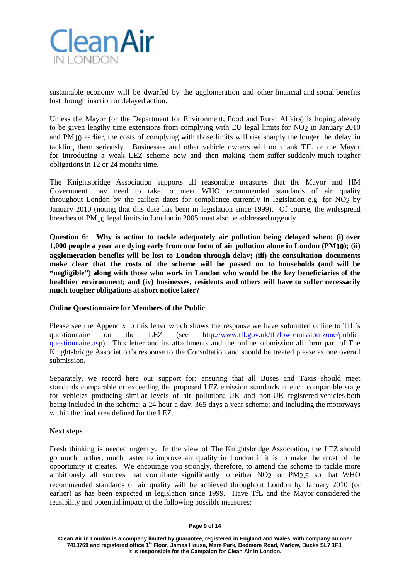

sustainable economy will be dwarfed by the agglomeration and other financial and social benefits lost through inaction or delayed action.

Unless the Mayor (or the Department for Environment, Food and Rural Affairs) is hoping already to be given lengthy time extensions from complying with EU legal limits for NO2 in January 2010 and PM10 earlier, the costs of complying with those limits will rise sharply the longer the delay in tackling them seriously. Businesses and other vehicle owners will not thank TfL or the Mayor for introducing a weak LEZ scheme now and then making them suffer suddenly much tougher obligations in 12 or 24 months time.

The Knightsbridge Association supports all reasonable measures that the Mayor and HM Government may need to take to meet WHO recommended standards of air quality throughout London by the earliest dates for compliance currently in legislation e.g. for NO2 by January 2010 (noting that this date has been in legislation since 1999). Of course, the widespread breaches of PM10 legal limits in London in 2005 must also be addressed urgently.

**Question 6: Why is action to tackle adequately air pollution being delayed when: (i) over 1,000 people a year are dying early from one form of air pollution alone in London (PM10); (ii) agglomeration benefits will be lost to London through delay; (iii) the consultation documents make clear that the costs of the scheme will be passed on to households (and will be "negligible") along with those who work in London who would be the key beneficiaries of the healthier environment; and (iv) businesses, residents and others will have to suffer necessarily much tougher obligations at short notice later?**

## **Online Questionnaire for Members of the Public**

Please see the Appendix to this letter which shows the response we have submitted online to TfL's questionnaire on the LEZ (see [http://www.tfl.gov.uk/tfl/low-emission-zone/public](http://www.tfl.gov.uk/tfl/low-emission-zone/public-)questionnaire.asp). This letter and its attachments and the online submission all form part of The Knightsbridge Association's response to the Consultation and should be treated please as one overall submission.

Separately, we record here our support for: ensuring that all Buses and Taxis should meet standards comparable or exceeding the proposed LEZ emission standards at each comparable stage for vehicles producing similar levels of air pollution; UK and non-UK registered vehicles both being included in the scheme; a 24 hour a day, 365 days a year scheme; and including the motorways within the final area defined for the LEZ.

#### **Next steps**

Fresh thinking is needed urgently. In the view of The Knightsbridge Association, the LEZ should go much further, much faster to improve air quality in London if it is to make the most of the opportunity it creates. We encourage you strongly, therefore, to amend the scheme to tackle more ambitiously all sources that contribute significantly to either NO2 or PM2.5 so that WHO recommended standards of air quality will be achieved throughout London by January 2010 (or earlier) as has been expected in legislation since 1999. Have TfL and the Mayor considered the feasibility and potential impact of the following possible measures: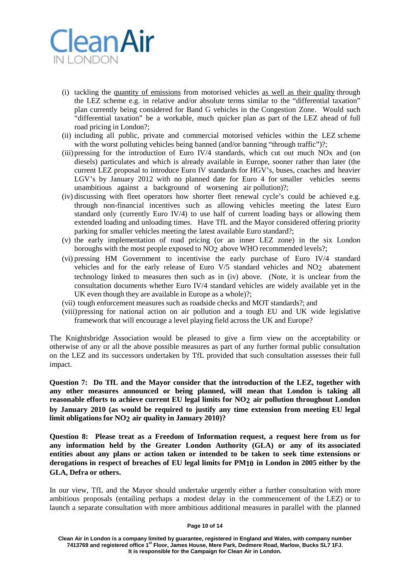

- (i) tackling the quantity of emissions from motorised vehicles as well as their quality through the LEZ scheme e.g. in relative and/or absolute terms similar to the "differential taxation" plan currently being considered for Band G vehicles in the Congestion Zone. Would such "differential taxation" be a workable, much quicker plan as part of the LEZ ahead of full road pricing in London?;
- (ii) including all public, private and commercial motorised vehicles within the LEZ scheme with the worst polluting vehicles being banned (and/or banning "through traffic")?;
- (iii) pressing for the introduction of Euro IV/4 standards, which cut out much NOx and (on diesels) particulates and which is already available in Europe, sooner rather than later (the current LEZ proposal to introduce Euro IV standards for HGV's, buses, coaches and heavier LGV's by January 2012 with no planned date for Euro 4 for smaller vehicles seems unambitious against a background of worsening air pollution)?;
- (iv) discussing with fleet operators how shorter fleet renewal cycle's could be achieved e.g. through non-financial incentives such as allowing vehicles meeting the latest Euro standard only (currently Euro IV/4) to use half of current loading bays or allowing them extended loading and unloading times. Have TfL and the Mayor considered offering priority parking for smaller vehicles meeting the latest available Euro standard?;
- (v) the early implementation of road pricing (or an inner LEZ zone) in the six London boroughs with the most people exposed to NO2 above WHO recommended levels?;
- (vi) pressing HM Government to incentivise the early purchase of Euro IV/4 standard vehicles and for the early release of Euro V/5 standard vehicles and NO2 abatement technology linked to measures then such as in (iv) above. (Note, it is unclear from the consultation documents whether Euro IV/4 standard vehicles are widely available yet in the UK even though they are available in Europe as a whole)?;
- (vii) tough enforcement measures such as roadside checks and MOT standards?; and
- (viii)pressing for national action on air pollution and a tough EU and UK wide legislative framework that will encourage a level playing field across the UK and Europe?

The Knightsbridge Association would be pleased to give a firm view on the acceptability or otherwise of any or all the above possible measures as part of any further formal public consultation on the LEZ and its successors undertaken by TfL provided that such consultation assesses their full impact.

**Question 7: Do TfL and the Mayor consider that the introduction of the LEZ, together with any other measures announced or being planned, will mean that London is taking all reasonable efforts to achieve current EU legal limits for NO2 air pollution throughout London by January 2010 (as would be required to justify any time extension from meeting EU legal limit obligations for NO2 air quality in January 2010)?**

**Question 8: Please treat as a Freedom of Information request, a request here from us for any information held by the Greater London Authority (GLA) or any of its associated entities about any plans or action taken or intended to be taken to seek time extensions or derogations in respect of breaches of EU legal limits for PM10 in London in 2005 either by the GLA, Defra or others.**

In our view, TfL and the Mayor should undertake urgently either a further consultation with more ambitious proposals (entailing perhaps a modest delay in the commencement of the LEZ) or to launch a separate consultation with more ambitious additional measures in parallel with the planned

#### **Page 10 of 14**

**Clean Air in London is a company limited by guarantee, registered in England and Wales, with company number 7413769 and registered office 1st Floor, James House, Mere Park, Dedmere Road, Marlow, Bucks SL7 1FJ. It is responsible for the Campaign for Clean Air in London.**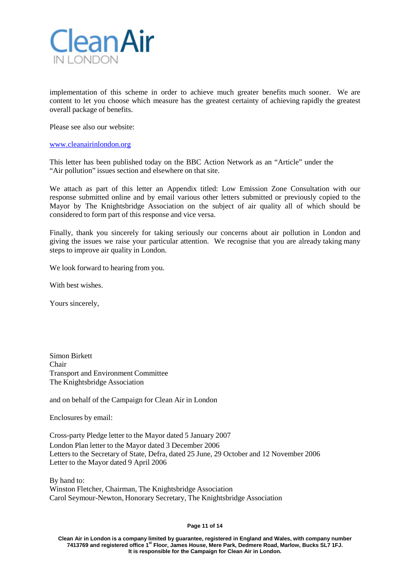

implementation of this scheme in order to achieve much greater benefits much sooner. We are content to let you choose which measure has the greatest certainty of achieving rapidly the greatest overall package of benefits.

Please see also our website:

#### www.cleanairinlondon.org

This letter has been published today on the BBC Action Network as an "Article" under the "Air pollution" issues section and elsewhere on that site.

We attach as part of this letter an Appendix titled: Low Emission Zone Consultation with our response submitted online and by email various other letters submitted or previously copied to the Mayor by The Knightsbridge Association on the subject of air quality all of which should be considered to form part of this response and vice versa.

Finally, thank you sincerely for taking seriously our concerns about air pollution in London and giving the issues we raise your particular attention. We recognise that you are already taking many steps to improve air quality in London.

We look forward to hearing from you.

With best wishes.

Yours sincerely,

Simon Birkett Chair Transport and Environment Committee The Knightsbridge Association

and on behalf of the Campaign for Clean Air in London

Enclosures by email:

Cross-party Pledge letter to the Mayor dated 5 January 2007 London Plan letter to the Mayor dated 3 December 2006 Letters to the Secretary of State, Defra, dated 25 June, 29 October and 12 November 2006 Letter to the Mayor dated 9 April 2006

By hand to: Winston Fletcher, Chairman, The Knightsbridge Association Carol Seymour-Newton, Honorary Secretary, The Knightsbridge Association

#### **Page 11 of 14**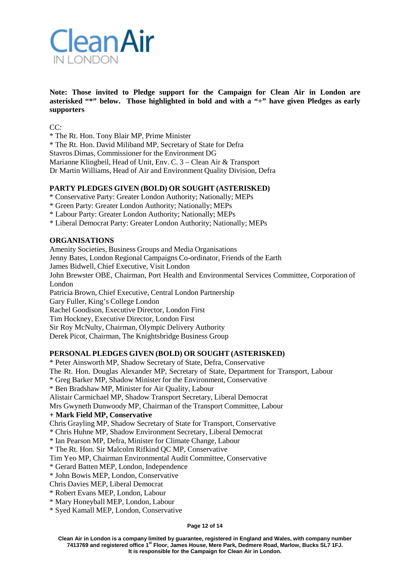

**Note: Those invited to Pledge support for the Campaign for Clean Air in London are asterisked "\*" below. Those highlighted in bold and with a "+" have given Pledges as early supporters**

 $CC$ 

\* The Rt. Hon. Tony Blair MP, Prime Minister

\* The Rt. Hon. David Miliband MP, Secretary of State for Defra

Stavros Dimas, Commissioner for the Environment DG

Marianne Klingbeil, Head of Unit, Env. C. 3 – Clean Air & Transport

Dr Martin Williams, Head of Air and Environment Quality Division, Defra

# **PARTY PLEDGES GIVEN (BOLD) OR SOUGHT (ASTERISKED)**

\* Conservative Party: Greater London Authority; Nationally; MEPs

\* Green Party: Greater London Authority; Nationally; MEPs

\* Labour Party: Greater London Authority; Nationally; MEPs

\* Liberal Democrat Party: Greater London Authority; Nationally; MEPs

# **ORGANISATIONS**

Amenity Societies, Business Groups and Media Organisations Jenny Bates, London Regional Campaigns Co-ordinator, Friends of the Earth James Bidwell, Chief Executive, Visit London John Brewster OBE, Chairman, Port Health and Environmental Services Committee, Corporation of London Patricia Brown, Chief Executive, Central London Partnership Gary Fuller, King's College London Rachel Goodison, Executive Director, London First Tim Hockney, Executive Director, London First Sir Roy McNulty, Chairman, Olympic Delivery Authority Derek Picot, Chairman, The Knightsbridge Business Group

## **PERSONAL PLEDGES GIVEN (BOLD) OR SOUGHT (ASTERISKED)**

\* Peter Ainsworth MP, Shadow Secretary of State, Defra, Conservative The Rt. Hon. Douglas Alexander MP, Secretary of State, Department for Transport, Labour \* Greg Barker MP, Shadow Minister for the Environment, Conservative \* Ben Bradshaw MP, Minister for Air Quality, Labour Alistair Carmichael MP, Shadow Transport Secretary, Liberal Democrat Mrs Gwyneth Dunwoody MP, Chairman of the Transport Committee, Labour **+ Mark Field MP, Conservative** Chris Grayling MP, Shadow Secretary of State for Transport, Conservative \* Chris Huhne MP, Shadow Environment Secretary, Liberal Democrat \* Ian Pearson MP, Defra, Minister for Climate Change, Labour \* The Rt. Hon. Sir Malcolm Rifkind QC MP, Conservative Tim Yeo MP, Chairman Environmental Audit Committee, Conservative \* Gerard Batten MEP, London, Independence \* John Bowis MEP, London, Conservative Chris Davies MEP, Liberal Democrat \* Robert Evans MEP, London, Labour \* Mary Honeyball MEP, London, Labour \* Syed Kamall MEP, London, Conservative

#### **Page 12 of 14**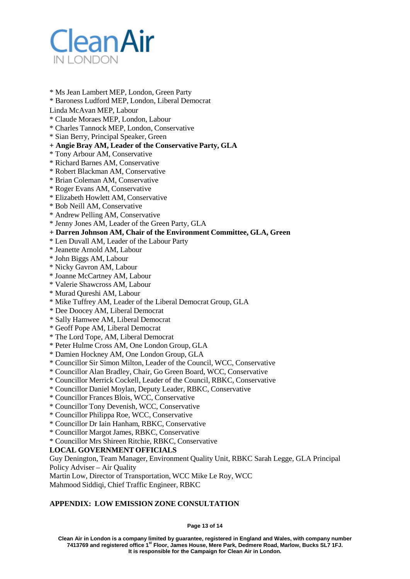

- \* Ms Jean Lambert MEP, London, Green Party
- \* Baroness Ludford MEP, London, Liberal Democrat
- Linda McAvan MEP, Labour
- \* Claude Moraes MEP, London, Labour
- \* Charles Tannock MEP, London, Conservative
- \* Sian Berry, Principal Speaker, Green
- **+ Angie Bray AM, Leader of the Conservative Party, GLA**
- \* Tony Arbour AM, Conservative
- \* Richard Barnes AM, Conservative
- \* Robert Blackman AM, Conservative
- \* Brian Coleman AM, Conservative
- \* Roger Evans AM, Conservative
- \* Elizabeth Howlett AM, Conservative
- \* Bob Neill AM, Conservative
- \* Andrew Pelling AM, Conservative
- \* Jenny Jones AM, Leader of the Green Party, GLA
- **+ Darren Johnson AM, Chair of the Environment Committee, GLA, Green**
- \* Len Duvall AM, Leader of the Labour Party
- \* Jeanette Arnold AM, Labour
- \* John Biggs AM, Labour
- \* Nicky Gavron AM, Labour
- \* Joanne McCartney AM, Labour
- \* Valerie Shawcross AM, Labour
- \* Murad Qureshi AM, Labour
- \* Mike Tuffrey AM, Leader of the Liberal Democrat Group, GLA
- \* Dee Doocey AM, Liberal Democrat
- \* Sally Hamwee AM, Liberal Democrat
- \* Geoff Pope AM, Liberal Democrat
- \* The Lord Tope, AM, Liberal Democrat
- \* Peter Hulme Cross AM, One London Group, GLA
- \* Damien Hockney AM, One London Group, GLA
- \* Councillor Sir Simon Milton, Leader of the Council, WCC, Conservative
- \* Councillor Alan Bradley, Chair, Go Green Board, WCC, Conservative
- \* Councillor Merrick Cockell, Leader of the Council, RBKC, Conservative
- \* Councillor Daniel Moylan, Deputy Leader, RBKC, Conservative
- \* Councillor Frances Blois, WCC, Conservative
- \* Councillor Tony Devenish, WCC, Conservative
- \* Councillor Philippa Roe, WCC, Conservative
- \* Councillor Dr Iain Hanham, RBKC, Conservative
- \* Councillor Margot James, RBKC, Conservative
- \* Councillor Mrs Shireen Ritchie, RBKC, Conservative

## **LOCAL GOVERNMENT OFFICIALS**

Guy Denington, Team Manager, Environment Quality Unit, RBKC Sarah Legge, GLA Principal Policy Adviser – Air Quality

Martin Low, Director of Transportation, WCC Mike Le Roy, WCC

Mahmood Siddiqi, Chief Traffic Engineer, RBKC

# **APPENDIX: LOW EMISSION ZONE CONSULTATION**